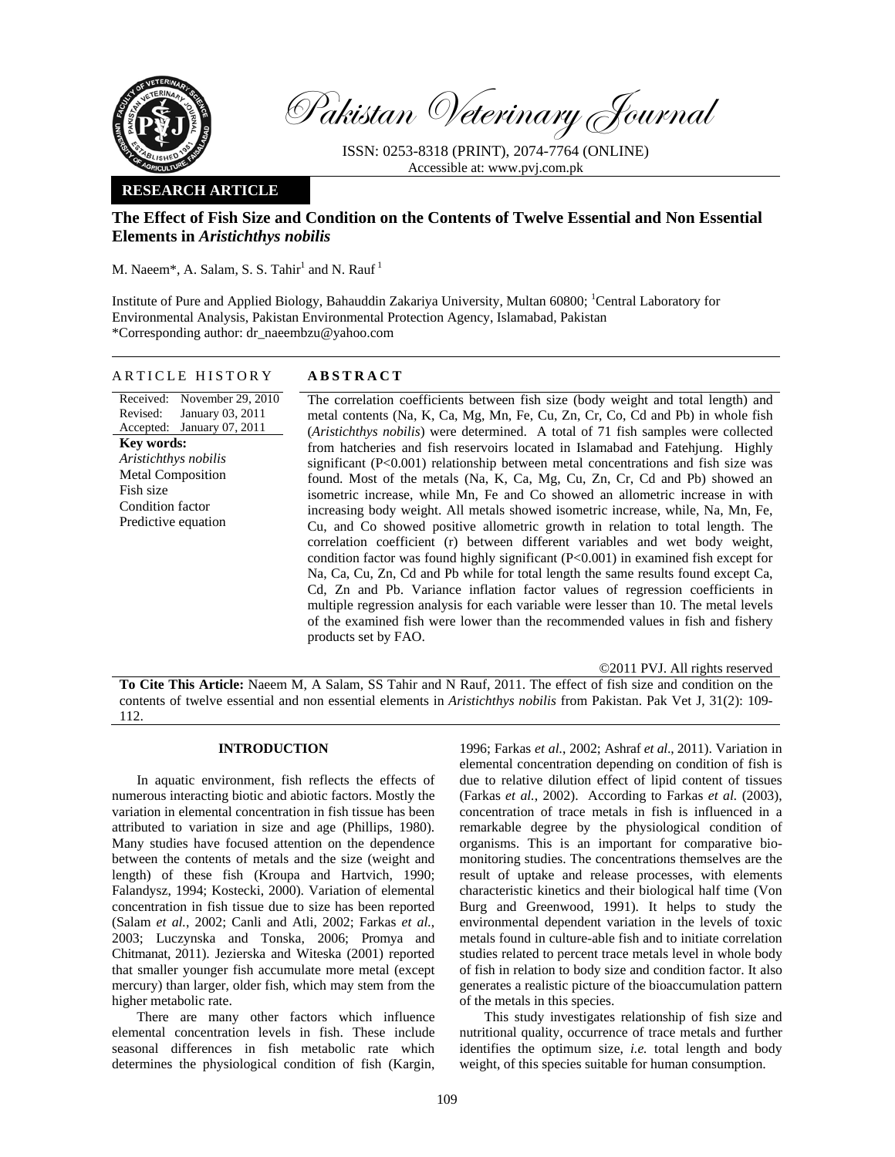

Pakistan Veterinary Journal

ISSN: 0253-8318 (PRINT), 2074-7764 (ONLINE) Accessible at: www.pvj.com.pk

# **RESEARCH ARTICLE**

# **The Effect of Fish Size and Condition on the Contents of Twelve Essential and Non Essential Elements in** *Aristichthys nobilis*

M. Naeem\*, A. Salam, S. S. Tahir $^1$  and N. Rauf $^1$ 

Institute of Pure and Applied Biology, Bahauddin Zakariya University, Multan 60800; <sup>1</sup>Central Laboratory for Environmental Analysis, Pakistan Environmental Protection Agency, Islamabad, Pakistan \*Corresponding author: dr\_naeembzu@yahoo.com

### ARTICLE HISTORY **ABSTRACT**

Received: November 29, 2010 Revised: Accepted: January 07, 2011 January 03, 2011 **Key words:**  *Aristichthys nobilis*  Metal Composition Fish size Condition factor Predictive equation

The correlation coefficients between fish size (body weight and total length) and metal contents (Na, K, Ca, Mg, Mn, Fe, Cu, Zn, Cr, Co, Cd and Pb) in whole fish (*Aristichthys nobilis*) were determined. A total of 71 fish samples were collected from hatcheries and fish reservoirs located in Islamabad and Fatehjung. Highly significant (P<0.001) relationship between metal concentrations and fish size was found. Most of the metals (Na, K, Ca, Mg, Cu, Zn, Cr, Cd and Pb) showed an isometric increase, while Mn, Fe and Co showed an allometric increase in with increasing body weight. All metals showed isometric increase, while, Na, Mn, Fe, Cu, and Co showed positive allometric growth in relation to total length. The correlation coefficient (r) between different variables and wet body weight, condition factor was found highly significant (P<0.001) in examined fish except for Na, Ca, Cu, Zn, Cd and Pb while for total length the same results found except Ca, Cd, Zn and Pb. Variance inflation factor values of regression coefficients in multiple regression analysis for each variable were lesser than 10. The metal levels of the examined fish were lower than the recommended values in fish and fishery products set by FAO.

©2011 PVJ. All rights reserved

**To Cite This Article:** Naeem M, A Salam, SS Tahir and N Rauf, 2011. The effect of fish size and condition on the contents of twelve essential and non essential elements in *Aristichthys nobilis* from Pakistan. Pak Vet J, 31(2): 109- 112.

# **INTRODUCTION**

In aquatic environment, fish reflects the effects of numerous interacting biotic and abiotic factors. Mostly the variation in elemental concentration in fish tissue has been attributed to variation in size and age (Phillips, 1980). Many studies have focused attention on the dependence between the contents of metals and the size (weight and length) of these fish (Kroupa and Hartvich, 1990; Falandysz, 1994; Kostecki, 2000). Variation of elemental concentration in fish tissue due to size has been reported (Salam *et al.*, 2002; Canli and Atli, 2002; Farkas *et al.*, 2003; Luczynska and Tonska, 2006; Promya and Chitmanat, 2011). Jezierska and Witeska (2001) reported that smaller younger fish accumulate more metal (except mercury) than larger, older fish, which may stem from the higher metabolic rate.

There are many other factors which influence elemental concentration levels in fish. These include seasonal differences in fish metabolic rate which determines the physiological condition of fish (Kargin,

1996; Farkas *et al.*, 2002; Ashraf *et al*., 2011). Variation in elemental concentration depending on condition of fish is due to relative dilution effect of lipid content of tissues (Farkas *et al.*, 2002). According to Farkas *et al.* (2003), concentration of trace metals in fish is influenced in a remarkable degree by the physiological condition of organisms. This is an important for comparative biomonitoring studies. The concentrations themselves are the result of uptake and release processes, with elements characteristic kinetics and their biological half time (Von Burg and Greenwood, 1991). It helps to study the environmental dependent variation in the levels of toxic metals found in culture-able fish and to initiate correlation studies related to percent trace metals level in whole body of fish in relation to body size and condition factor. It also generates a realistic picture of the bioaccumulation pattern of the metals in this species.

This study investigates relationship of fish size and nutritional quality, occurrence of trace metals and further identifies the optimum size, *i.e.* total length and body weight, of this species suitable for human consumption.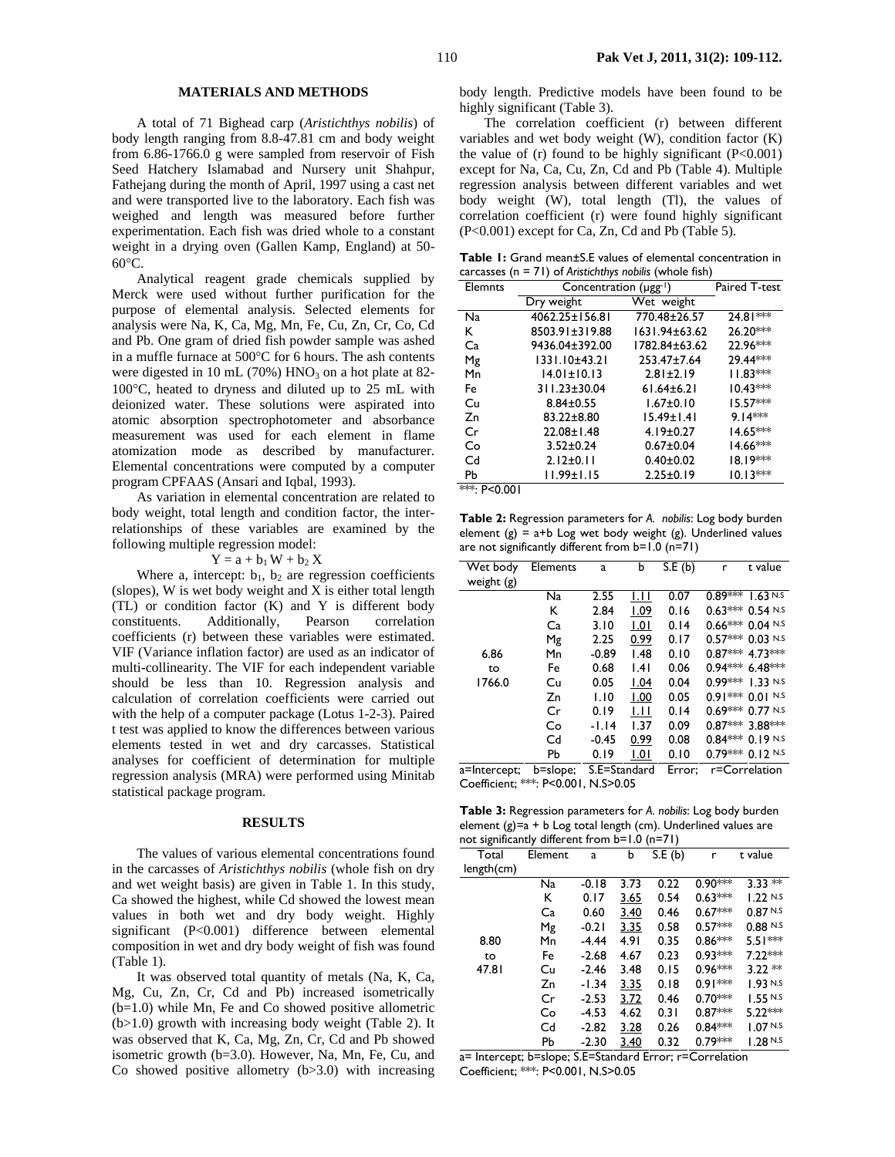#### **MATERIALS AND METHODS**

A total of 71 Bighead carp (*Aristichthys nobilis*) of body length ranging from 8.8-47.81 cm and body weight from 6.86-1766.0 g were sampled from reservoir of Fish Seed Hatchery Islamabad and Nursery unit Shahpur, Fathejang during the month of April, 1997 using a cast net and were transported live to the laboratory. Each fish was weighed and length was measured before further experimentation. Each fish was dried whole to a constant weight in a drying oven (Gallen Kamp, England) at 50- 60°C.

Analytical reagent grade chemicals supplied by Merck were used without further purification for the purpose of elemental analysis. Selected elements for analysis were Na, K, Ca, Mg, Mn, Fe, Cu, Zn, Cr, Co, Cd and Pb. One gram of dried fish powder sample was ashed in a muffle furnace at 500°C for 6 hours. The ash contents were digested in 10 mL (70%)  $HNO<sub>3</sub>$  on a hot plate at 82-100°C, heated to dryness and diluted up to 25 mL with deionized water. These solutions were aspirated into atomic absorption spectrophotometer and absorbance measurement was used for each element in flame atomization mode as described by manufacturer. Elemental concentrations were computed by a computer program CPFAAS (Ansari and Iqbal, 1993).

As variation in elemental concentration are related to body weight, total length and condition factor, the interrelationships of these variables are examined by the following multiple regression model:

### $Y = a + b_1 W + b_2 X$

Where a, intercept:  $b_1$ ,  $b_2$  are regression coefficients (slopes), W is wet body weight and X is either total length (TL) or condition factor (K) and Y is different body constituents. Additionally, Pearson correlation coefficients (r) between these variables were estimated. VIF (Variance inflation factor) are used as an indicator of multi-collinearity. The VIF for each independent variable should be less than 10. Regression analysis and calculation of correlation coefficients were carried out with the help of a computer package (Lotus 1-2-3). Paired t test was applied to know the differences between various elements tested in wet and dry carcasses. Statistical analyses for coefficient of determination for multiple regression analysis (MRA) were performed using Minitab statistical package program.

#### **RESULTS**

The values of various elemental concentrations found in the carcasses of *Aristichthys nobilis* (whole fish on dry and wet weight basis) are given in Table 1. In this study, Ca showed the highest, while Cd showed the lowest mean values in both wet and dry body weight. Highly significant (P<0.001) difference between elemental composition in wet and dry body weight of fish was found (Table 1).

It was observed total quantity of metals (Na, K, Ca, Mg, Cu, Zn, Cr, Cd and Pb) increased isometrically (b=1.0) while Mn, Fe and Co showed positive allometric (b>1.0) growth with increasing body weight (Table 2). It was observed that K, Ca, Mg, Zn, Cr, Cd and Pb showed isometric growth (b=3.0). However, Na, Mn, Fe, Cu, and Co showed positive allometry  $(b>3.0)$  with increasing body length. Predictive models have been found to be highly significant (Table 3).

The correlation coefficient (r) between different variables and wet body weight (W), condition factor (K) the value of  $(r)$  found to be highly significant  $(P<0.001)$ except for Na, Ca, Cu, Zn, Cd and Pb (Table 4). Multiple regression analysis between different variables and wet body weight (W), total length (Tl), the values of correlation coefficient (r) were found highly significant (P<0.001) except for Ca, Zn, Cd and Pb (Table 5).

**Table 1:** Grand mean±S.E values of elemental concentration in carcasses (n = 71) of *Aristichthys nobilis* (whole fish)

| Elemnts      | Concentration (µgg-1) | Paired T-test    |            |
|--------------|-----------------------|------------------|------------|
|              | Dry weight            | Wet weight       |            |
| Na           | 4062.25±156.81        | 770.48±26.57     | $24.81***$ |
| Κ            | 8503.91±319.88        | 1631.94±63.62    | 26.20***   |
| Ca           | 9436.04±392.00        | 1782.84±63.62    | 22.96***   |
| Mg           | 1331.10±43.21         | 253.47±7.64      | 29.44***   |
| Mn           | $14.01 \pm 10.13$     | $2.81 \pm 2.19$  | $11.83***$ |
| Fe           | 311.23±30.04          | $61.64 \pm 6.21$ | $10.43***$ |
| Сu           | $8.84 \pm 0.55$       | $1.67 \pm 0.10$  | $15.57***$ |
| Zn           | 83.22±8.80            | $15.49 \pm 1.41$ | $9.14***$  |
| Cr           | 22.08±1.48            | $4.19 \pm 0.27$  | 14.65***   |
| Co           | $3.52 \pm 0.24$       | $0.67 + 0.04$    | 14.66***   |
| Cd           | $2.12 \pm 0.11$       | $0.40 \pm 0.02$  | $18.19***$ |
| Рb           | $11.99 \pm 1.15$      | $2.25 \pm 0.19$  | $10.13***$ |
| ***: P<0.001 |                       |                  |            |

**Table 2:** Regression parameters for *A. nobilis*: Log body burden element  $(g) = a + b$  Log wet body weight  $(g)$ . Underlined values are not significantly different from b=1.0 (n=71)

| Wet body<br>weight (g) | Elements | a            | b    | S.E(b) | r             | t value            |
|------------------------|----------|--------------|------|--------|---------------|--------------------|
|                        | Na       | 2.55         | I.II | 0.07   | $0.89***$     | 1.63 N.S           |
|                        | ĸ        | 2.84         | 1.09 | 0.16   |               | $0.63***$ 0.54 N.S |
|                        | Ca       | 3.10         | 1.01 | 0.14   |               | $0.66***0.04$ N.S  |
|                        | Μg       | 2.25         | 0.99 | 0.17   |               | $0.57***$ 0.03 N.S |
| 6.86                   | Mn       | $-0.89$      | 1.48 | 0.10   |               | $0.87***$ 4.73 *** |
| to                     | Fe       | 0.68         | .4   | 0.06   |               | $0.94***$ 6.48 *** |
| 1766.0                 | Cu       | 0.05         | 1.04 | 0.04   |               | $0.99***$ 1.33 N.S |
|                        | Zn       | 1.10         | 1.00 | 0.05   |               | $0.91***0.01$ N.S  |
|                        | Cr       | 0.19         | ЫI   | 0.14   |               | $0.69***0.77$ N.S  |
|                        | Co       | -1.14        | 1.37 | 0.09   |               | $0.87***$ 3.88 *** |
|                        | Cd       | $-0.45$      | 0.99 | 0.08   |               | $0.84***0.19N.5$   |
|                        | Pb       | 0.19         | 1.01 | 0.10   |               | $0.79***0.12$ N.S  |
| a=Intercept;           | b=slope; | S.E=Standard |      | Error; | r=Correlation |                    |

Coefficient; \*\*\*: P<0.001, N.S>0.05

**Table 3:** Regression parameters for *A. nobilis*: Log body burden element  $(g)=a + b$  Log total length (cm). Underlined values are not significantly different from b=1.0 (n=71)

| 0          |         |         |      |        |           |                     |
|------------|---------|---------|------|--------|-----------|---------------------|
| Total      | Element | a       | b    | S.E(b) | r         | t value             |
| length(cm) |         |         |      |        |           |                     |
|            | Na      | $-0.18$ | 3.73 | 0.22   | $0.90***$ | $3.33 *$            |
|            | ĸ       | 0.17    | 3.65 | 0.54   | $0.63***$ | 1.22 N.S            |
|            | Ca      | 0.60    | 3.40 | 0.46   | $0.67***$ | 0.87 N.S            |
|            | Μg      | $-0.21$ | 3.35 | 0.58   | $0.57***$ | $0.88N$ .s          |
| 8.80       | Mn      | $-4.44$ | 4.91 | 0.35   | 0.86***   | $5.51***$           |
| to         | Fe      | $-2.68$ | 4.67 | 0.23   | $0.93***$ | $7.22***$           |
| 47.81      | Cu      | $-2.46$ | 3.48 | 0.15   | $0.96***$ | $3.22**$            |
|            | Zn      | $-1.34$ | 3.35 | 0.18   | $0.91***$ | 1.93 N.S            |
|            | Cr      | $-2.53$ | 3.72 | 0.46   | $0.70***$ | 1.55 N.S            |
|            | Co      | $-4.53$ | 4.62 | 0.31   | $0.87***$ | $5.22***$           |
|            | Cd      | $-2.82$ | 3.28 | 0.26   | $0.84***$ | 1.07 <sub>N.S</sub> |
|            | Рb      | $-2.30$ | 3.40 | 0.32   | $0.79***$ | 1.28N.S             |
|            |         |         |      |        |           |                     |

a= Intercept; b=slope; S.E=Standard Error; r=Correlation Coefficient; \*\*\*: P<0.001, N.S>0.05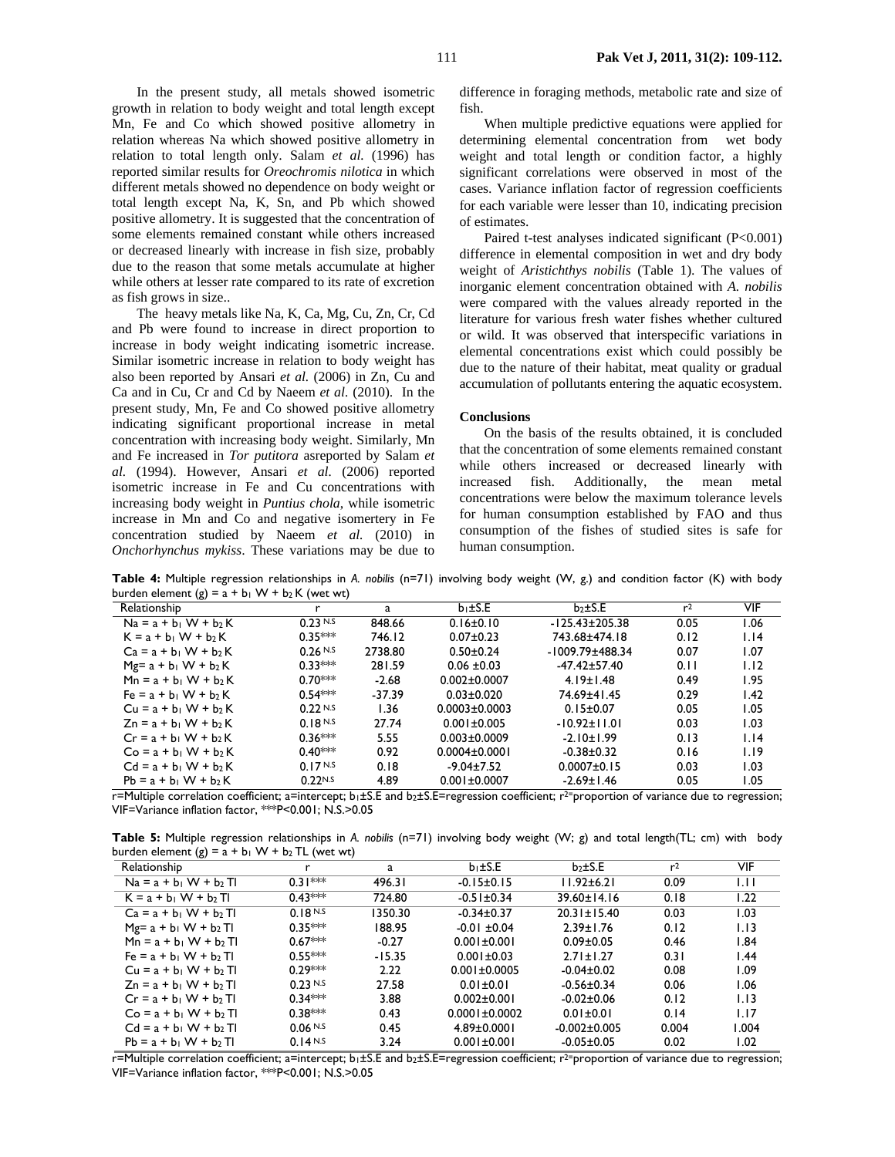In the present study, all metals showed isometric growth in relation to body weight and total length except Mn, Fe and Co which showed positive allometry in relation whereas Na which showed positive allometry in relation to total length only. Salam *et al.* (1996) has reported similar results for *Oreochromis nilotica* in which different metals showed no dependence on body weight or total length except Na, K, Sn, and Pb which showed positive allometry. It is suggested that the concentration of some elements remained constant while others increased or decreased linearly with increase in fish size, probably due to the reason that some metals accumulate at higher while others at lesser rate compared to its rate of excretion as fish grows in size..

The heavy metals like Na, K, Ca, Mg, Cu, Zn, Cr, Cd and Pb were found to increase in direct proportion to increase in body weight indicating isometric increase. Similar isometric increase in relation to body weight has also been reported by Ansari *et al.* (2006) in Zn, Cu and Ca and in Cu, Cr and Cd by Naeem *et al.* (2010). In the present study, Mn, Fe and Co showed positive allometry indicating significant proportional increase in metal concentration with increasing body weight. Similarly, Mn and Fe increased in *Tor putitora* asreported by Salam *et al.* (1994). However, Ansari *et al.* (2006) reported isometric increase in Fe and Cu concentrations with increasing body weight in *Puntius chola*, while isometric increase in Mn and Co and negative isomertery in Fe concentration studied by Naeem *et al.* (2010) in *Onchorhynchus mykiss*. These variations may be due to

difference in foraging methods, metabolic rate and size of fish.

When multiple predictive equations were applied for determining elemental concentration from wet body weight and total length or condition factor, a highly significant correlations were observed in most of the cases. Variance inflation factor of regression coefficients for each variable were lesser than 10, indicating precision of estimates.

Paired t-test analyses indicated significant (P<0.001) difference in elemental composition in wet and dry body weight of *Aristichthys nobilis* (Table 1). The values of inorganic element concentration obtained with *A. nobilis* were compared with the values already reported in the literature for various fresh water fishes whether cultured or wild. It was observed that interspecific variations in elemental concentrations exist which could possibly be due to the nature of their habitat, meat quality or gradual accumulation of pollutants entering the aquatic ecosystem.

## **Conclusions**

On the basis of the results obtained, it is concluded that the concentration of some elements remained constant while others increased or decreased linearly with increased fish. Additionally, the mean metal concentrations were below the maximum tolerance levels for human consumption established by FAO and thus consumption of the fishes of studied sites is safe for human consumption.

**Table 4:** Multiple regression relationships in *A. nobilis* (n=71) involving body weight (W, g.) and condition factor (K) with body burden element  $(g) = a + b_1 W + b_2 K$  (wet wt)

| v                        |           |          |                     |                       |                |      |
|--------------------------|-----------|----------|---------------------|-----------------------|----------------|------|
| Relationship             |           | a        | $b_1 \pm S.E$       | $b_2 \pm S.E$         | r <sup>2</sup> | VIF  |
| $Na = a + b_1 W + b_2 K$ | 0.23 N.S  | 848.66   | $0.16 \pm 0.10$     | $-125.43+205.38$      | 0.05           | 1.06 |
| $K = a + b_1 W + b_2 K$  | $0.35***$ | 746.12   | $0.07 + 0.23$       | 743.68±474.18         | 0.12           | 1.14 |
| $Ca = a + b_1 W + b_2 K$ | 0.26 N.S  | 2738.80  | $0.50 + 0.24$       | $-1009.79 \pm 488.34$ | 0.07           | 1.07 |
| $Mg = a + b_1 W + b_2 K$ | $0.33***$ | 281.59   | $0.06 \pm 0.03$     | $-47.42 \pm 57.40$    | 0.11           | 1.12 |
| $Mn = a + b_1 W + b_2 K$ | $0.70***$ | $-2.68$  | $0.002 \pm 0.0007$  | $4.19 \pm 1.48$       | 0.49           | 1.95 |
| $Fe = a + b_1 W + b_2 K$ | $0.54***$ | $-37.39$ | $0.03 + 0.020$      | 74.69+41.45           | 0.29           | 1.42 |
| $Cu = a + b_1 W + b_2 K$ | 0.22N.S   | 1.36     | $0.0003 + 0.0003$   | $0.15 \pm 0.07$       | 0.05           | I.O5 |
| $Zn = a + b_1 W + b_2 K$ | 0.18 N.S  | 27.74    | $0.001 \pm 0.005$   | $-10.92 \pm 11.01$    | 0.03           | I.O3 |
| $Cr = a + b_1 W + b_2 K$ | $0.36***$ | 5.55     | $0.003 + 0.0009$    | $-2.10 \pm 1.99$      | 0.13           | 1.14 |
| $Co = a + b_1 W + b_2 K$ | $0.40***$ | 0.92     | $0.0004 \pm 0.0001$ | $-0.38 + 0.32$        | 0.16           | 1.19 |
| $Cd = a + b_1 W + b_2 K$ | 0.17 N.S  | 0.18     | $-9.04 \pm 7.52$    | $0.0007 \pm 0.15$     | 0.03           | I.O3 |
| $Pb = a + b_1 W + b_2 K$ | 0.22N.S   | 4.89     | $0.001 + 0.0007$    | $-2.69 \pm 1.46$      | 0.05           | I.05 |

r=Multiple correlation coefficient; a=intercept; b<sub>1</sub>±S.E and b<sub>2</sub>±S.E=regression coefficient; r<sup>2=</sup>proportion of variance due to regression; VIF=Variance inflation factor, \*\*\*P<0.001; N.S.>0.05

**Table 5:** Multiple regression relationships in *A. nobilis* (n=71) involving body weight (W; g) and total length(TL; cm) with body burden element  $(g) = a + b_1 W + b_2 TL$  (wet wt)

|           | a        | $b_1 \pm S.E$       | $b_2 \pm S.E$      | r <sup>2</sup> | <b>VIF</b> |
|-----------|----------|---------------------|--------------------|----------------|------------|
| $0.31***$ | 496.31   | $-0.15 \pm 0.15$    | 11.92±6.21         | 0.09           | IJ         |
| $0.43***$ | 724.80   | $-0.51 \pm 0.34$    | $39.60 \pm 14.16$  | 0.18           | 1.22       |
| 0.18N.S   | 1350.30  | $-0.34 \pm 0.37$    | $20.31 \pm 15.40$  | 0.03           | 1.03       |
| $0.35***$ | 188.95   | $-0.01 \pm 0.04$    | $2.39 \pm 1.76$    | 0.12           | 1.13       |
| $0.67***$ | $-0.27$  | $0.001 \pm 0.001$   | $0.09 \pm 0.05$    | 0.46           | I.84       |
| $0.55***$ | $-15.35$ | $0.001 \pm 0.03$    | $2.71 \pm 1.27$    | 0.31           | l.44       |
| $0.29***$ | 2.22     | $0.001 \pm 0.0005$  | $-0.04 \pm 0.02$   | 0.08           | 1.09       |
| 0.23 N.S  | 27.58    | $0.01 \pm 0.01$     | $-0.56 \pm 0.34$   | 0.06           | 1.06       |
| $0.34***$ | 3.88     | $0.002 \pm 0.001$   | $-0.02 \pm 0.06$   | 0.12           | 1.13       |
| $0.38***$ | 0.43     | $0.0001 \pm 0.0002$ | $0.01 \pm 0.01$    | 0.14           | 1.17       |
| 0.06 N.S  | 0.45     | $4.89 \pm 0.0001$   | $-0.002 \pm 0.005$ | 0.004          | 1.004      |
| 0.14 N.S  | 3.24     | $0.001 \pm 0.001$   | $-0.05 \pm 0.05$   | 0.02           | 1.02       |
|           |          |                     |                    |                |            |

r=Multiple correlation coefficient; a=intercept; b<sub>1</sub>±S.E and b<sub>2</sub>±S.E=regression coefficient; r<sup>2=</sup>proportion of variance due to regression; VIF=Variance inflation factor, \*\*\*P<0.001; N.S.>0.05